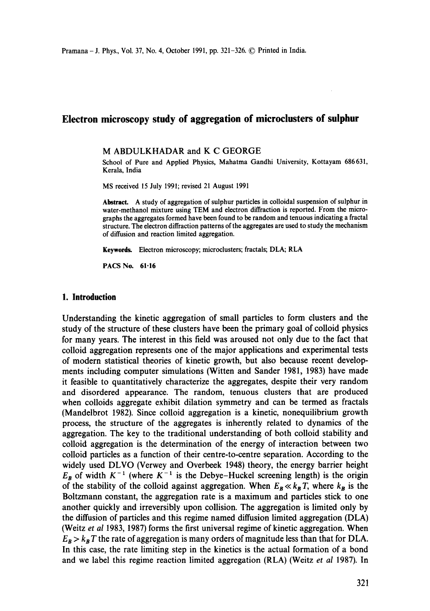# **Electron microscopy study of aggregation of microclusters of sulphur**

### M ABDULKHADAR and K C GEORGE

School of Pure and Applied Physics, Mahatma Gandhi University, Kottayam 686631, Kerala, India

MS received 15 July 1991; revised 21 August 1991

**Abstract.** A study of aggregation of sulphur particles in colloidal suspension of sulphur in water-methanol mixture using TEM and electron diffraction is reported. From the micrographs the aggregates formed have been found to be random and tenuous indicating a fractal structure. The electron diffraction patterns of the aggregates are used to study the mechanism of diffusion and reaction limited aggregation.

**Keywords.** Electron microscopy; microclusters; fractals; DLA; RLA

PACS No. 61-16

# **1. Introduction**

Understanding the kinetic aggregation of small particles to form clusters and the study of the structure of these clusters have been the primary goal of colloid physics for many years. The interest in this field was aroused not only due to the fact that colloid aggregation represents one of the major applications and experimental tests of modern statistical theories of kinetic growth, but also because recent developments including computer simulations (Witten and Sander 1981, 1983) have made it feasible to quantitatively characterize the aggregates, despite their very random and disordered appearance. The random, tenuous clusters that are produced when colloids aggregate exhibit dilation symmetry and can be termed as fractals (Mandelbrot 1982). Since colloid aggregation is a kinetic, nonequilibrium growth process, the structure of the aggregates is inherently related to dynamics of the aggregation. The key to the traditional understanding of both colloid stability and colloid aggregation is the determination of the energy of interaction between two colloid particles as a function of their centre-to-centre separation. According to the widely used DLVO (Verwey and Overbeek 1948) theory, the energy barrier height  $E_B$  of width  $K^{-1}$  (where  $K^{-1}$  is the Debye-Huckel screening length) is the origin of the stability of the colloid against aggregation. When  $E_B \ll k_B T$ , where  $k_B$  is the Boltzmann constant, the aggregation rate is a maximum and particles stick to one another quickly and irreversibly upon collision. The aggregation is limited only by the diffusion of particles and this regime named diffusion limited aggregation (DLA) (Weitz *et al* 1983, 1987) forms the first universal regime of kinetic aggregation. When  $E_B > k_B T$  the rate of aggregation is many orders of magnitude less than that for DLA. In this case, the rate limiting step in the kinetics is the actual formation of a bond and we label this regime reaction limited aggregation (RLA) (Weitz *et al* 1987). In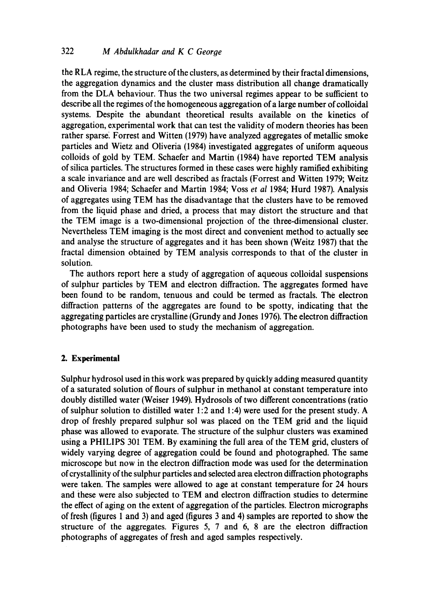the RLA regime, the structure of the clusters, as determined by their fractal dimensions, the aggregation dynamics and the cluster mass distribution all change dramatically from the DLA behaviour. Thus the two universal regimes appear to be sufficient to describe all the regimes of the homogeneous aggregation of a large number of colloidal systems. Despite the abundant theoretical results available on the kinetics of aggregation, experimental work that can test the validity of modern theories has been rather sparse. Forrest and Witten (1979) have analyzed aggregates of metallic smoke particles and Wietz and Oliveria (1984) investigated aggregates of uniform aqueous colloids of gold by TEM. Schaefer and Martin (1984) have reported TEM analysis of silica particles. The structures formed in these cases were highly ramified exhibiting a scale invariance and are well described as fractals (Forrest and Witten 1979; Weitz and Oliveria 1984; Schaefer and Martin 1984; Voss *et al* 1984; Hurd 1987). Analysis of aggregates using TEM has the disadvantage that the clusters have to be removed from the liquid phase and dried, a process that may distort the structure and that the TEM image is a two-dimensional projection of the three-dimensional cluster. Nevertheless TEM imaging is the most direct and convenient method to actually see and analyse the structure of aggregates and it has been shown (Weitz 1987) that the fractal dimension obtained by TEM analysis corresponds to that of the duster in solution.

The authors report here a study of aggregation of aqueous colloidal suspensions of sulphur particles by TEM and electron diffraction. The aggregates formed have been found to be random, tenuous and could be termed as fractals. The electron diffraction patterns of the aggregates are found to be spotty, indicating that the aggregating particles are crystalline (Grundy and Jones 1976). The electron diffraction photographs have been used to study the mechanism of aggregation.

### **2. Experimental**

Sulphur hydrosol used in this work was prepared by quickly adding measured quantity of a saturated solution of flours of sulphur in methanol at constant temperature into doubly distilled water (Weiser 1949). Hydrosols of two different concentrations (ratio of sulphur solution to distilled water 1:2 and 1:4) were used for the present study. A drop of freshly prepared sulphur sol was placed on the TEM grid and the liquid phase was allowed to evaporate. The structure of the sulphur clusters was examined using a PHILIPS 301 TEM. By examining the full area of the TEM grid, clusters of widely varying degree of aggregation could be found and photographed. The same microscope but now in the electron diffraction mode was used for the determination of crystallinity of the sulphur particles and selected area electron diffraction photographs were taken. The samples were allowed to age at constant temperature for 24 hours and these were also subjected to TEM and electron diffraction studies to determine the effect of aging on the extent of aggregation of the particles. Electron micrographs of fresh (figures 1 and 3) and aged (figures 3 and 4) samples are reported to show the structure of the aggregates. Figures 5, 7 and 6, 8 are the electron diffraction photographs of aggregates of fresh and aged samples respectively.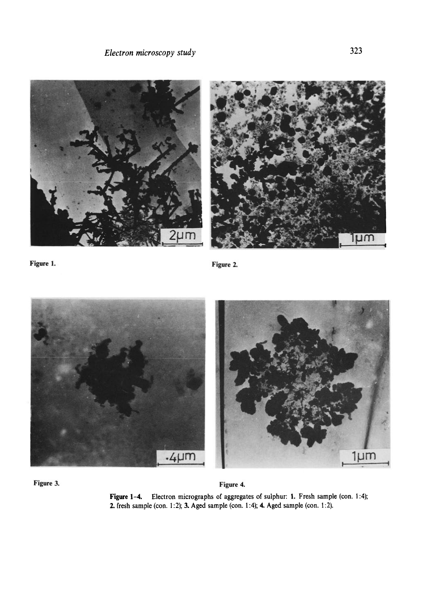





Figure 3. **Figure 4.** 

Figure 1-4. Electron micrographs of aggregates of sulphur: 1. Fresh sample (con. 1:4); 2. fresh sample (con. 1:2); 3. Aged sample (con. 1:4); 4. Aged sample (con. 1:2).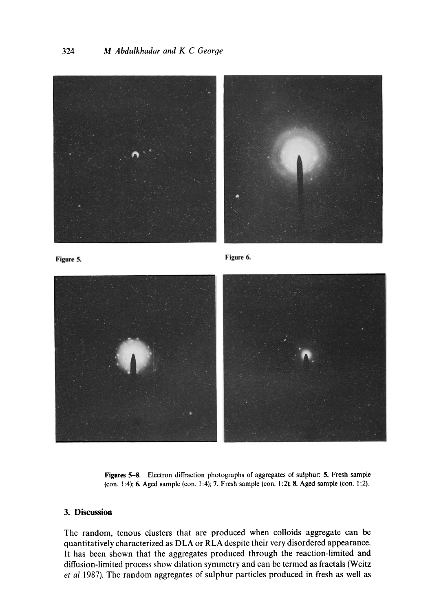

Figure 5. Figure 5.



**Figures** 5-8. Electron diffraction photographs of aggregates of sulphur: 5. Fresh sample (con. 1:4); 6. Aged sample (con. 1:4); 7. Fresh sample (con. 1:2); 8. Aged sample (con. 1:2).

# **3. Discussion**

The random, tenous clusters that are produced when colloids aggregate can be quantitatively characterized as DLA or RLA despite their very disordered appearance. It has been shown that the aggregates produced through the reaction-limited and diffusion-limited process show dilation symmetry and can be termed as fractals (Weitz *et al* 1987). The random aggregates of sulphur particles produced in fresh as well as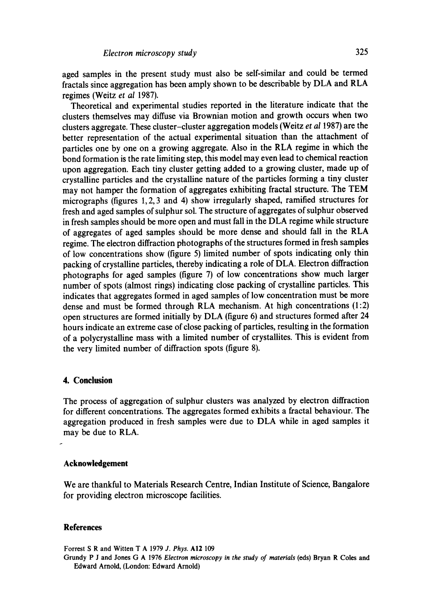aged samples in the present study must also be self-similar and could be termed fractals since aggregation has been amply shown to be describable by DLA and RLA regimes (Weitz *et al* 1987).

Theoretical and experimental studies reported in the literature indicate that the clusters themselves may diffuse via Brownian motion and growth occurs when two clusters aggregate. These cluster-cluster aggregation models (Weitz *et al* 1987) are the better representation of the actual experimental situation than the attachment of particles one by one on a growing aggregate. Also in the RLA regime in which the bond formation is the rate limiting step, this model may even lead to chemical reaction upon aggregation. Each tiny cluster getting added to a growing cluster, made up of crystalline particles and the crystalline nature of the particles forming a tiny cluster may not hamper the formation of aggregates exhibiting fractal structure. The TEM micrographs (figures 1, 2, 3 and 4) show irregularly shaped, ramified structures for fresh and aged samples of sulphur sol. The structure of aggregates of sulphur observed in fresh samples should be more open and must fall in the DLA regime while structure of aggregates of aged samples should be more dense and should fall in the RLA regime. The electron diffraction photographs of the structures formed in fresh samples of low concentrations show (figure 5) limited number of spots indicating only thin packing of crystalline particles, thereby indicating a role of DLA. Electron diffraction photographs for aged samples (figure 7) of low concentrations show much larger number of spots (almost rings) indicating close packing of crystalline particles. This indicates that aggregates formed in aged samples of low concentration must be more dense and must be formed through RLA mechanism. At high concentrations (1:2) open structures are formed initially by DLA (figure 6) and structures formed after 24 hours indicate an extreme case of close packing of particles, resulting in the formation of a polycrystalline mass with a limited number of crystallites. This is evident from the very limited number of diffraction spots (figure 8).

### **4. Conclusion**

The process of aggregation of sulphur clusters was analyzed by electron diffraction for different concentrations. The aggregates formed exhibits a fractal behaviour. The aggregation produced in fresh samples were due to DLA while in aged samples it may be due to RLA.

#### **Acknowledgement**

We are thankful to Materials Research Centre, Indian Institute of Science, Bangalore for providing electron microscope facilities.

#### **References**

Forrest S R and Witten T A 1979 *J. Phys.* A12 109

Grundy P J **and Jones** G A 1976 *Electron microscopy in the study of materials* (eds) Bryan R **Coles and**  Edward Arnold, (London: Edward Arnold)